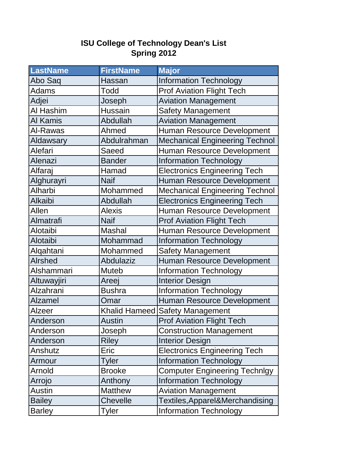## **ISU College of Technology Dean's List Spring 2012**

| <b>LastName</b> | <b>FirstName</b> | <b>Major</b>                          |
|-----------------|------------------|---------------------------------------|
| Abo Saq         | Hassan           | <b>Information Technology</b>         |
| Adams           | <b>Todd</b>      | <b>Prof Aviation Flight Tech</b>      |
| Adjei           | Joseph           | <b>Aviation Management</b>            |
| Al Hashim       | <b>Hussain</b>   | <b>Safety Management</b>              |
| Al Kamis        | Abdullah         | <b>Aviation Management</b>            |
| Al-Rawas        | Ahmed            | <b>Human Resource Development</b>     |
| Aldawsary       | Abdulrahman      | <b>Mechanical Engineering Technol</b> |
| Alefari         | Saeed            | <b>Human Resource Development</b>     |
| Alenazi         | <b>Bander</b>    | <b>Information Technology</b>         |
| Alfaraj         | Hamad            | <b>Electronics Engineering Tech</b>   |
| Alghurayri      | <b>Naif</b>      | Human Resource Development            |
| Alharbi         | Mohammed         | <b>Mechanical Engineering Technol</b> |
| Alkaibi         | Abdullah         | <b>Electronics Engineering Tech</b>   |
| Allen           | <b>Alexis</b>    | Human Resource Development            |
| Almatrafi       | <b>Naif</b>      | <b>Prof Aviation Flight Tech</b>      |
| Alotaibi        | Mashal           | Human Resource Development            |
| Alotaibi        | Mohammad         | <b>Information Technology</b>         |
| Alqahtani       | Mohammed         | <b>Safety Management</b>              |
| <b>Alrshed</b>  | <b>Abdulaziz</b> | Human Resource Development            |
| Alshammari      | <b>Muteb</b>     | <b>Information Technology</b>         |
| Altuwayjiri     | Areej            | <b>Interior Design</b>                |
| Alzahrani       | <b>Bushra</b>    | <b>Information Technology</b>         |
| <b>Alzamel</b>  | Omar             | <b>Human Resource Development</b>     |
| <b>Alzeer</b>   | Khalid Hameed    | <b>Safety Management</b>              |
| Anderson        | Austin           | <b>Prof Aviation Flight Tech</b>      |
| Anderson        | Joseph           | <b>Construction Management</b>        |
| Anderson        | <b>Riley</b>     | <b>Interior Design</b>                |
| Anshutz         | Eric             | <b>Electronics Engineering Tech</b>   |
| Armour          | Tyler            | <b>Information Technology</b>         |
| Arnold          | <b>Brooke</b>    | <b>Computer Engineering Technlgy</b>  |
| Arrojo          | Anthony          | <b>Information Technology</b>         |
| Austin          | <b>Matthew</b>   | <b>Aviation Management</b>            |
| <b>Bailey</b>   | <b>Chevelle</b>  | Textiles, Apparel&Merchandising       |
| <b>Barley</b>   | <b>Tyler</b>     | <b>Information Technology</b>         |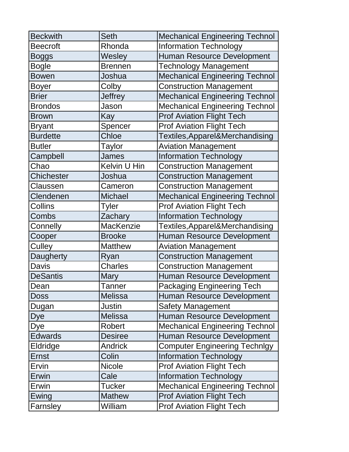| <b>Beckwith</b>   | <b>Seth</b>    | <b>Mechanical Engineering Technol</b> |
|-------------------|----------------|---------------------------------------|
| <b>Beecroft</b>   | Rhonda         | <b>Information Technology</b>         |
| <b>Boggs</b>      | Wesley         | Human Resource Development            |
| <b>Bogle</b>      | <b>Brennen</b> | <b>Technology Management</b>          |
| <b>Bowen</b>      | Joshua         | <b>Mechanical Engineering Technol</b> |
| <b>Boyer</b>      | Colby          | <b>Construction Management</b>        |
| <b>Brier</b>      | <b>Jeffrey</b> | <b>Mechanical Engineering Technol</b> |
| <b>Brondos</b>    | Jason          | <b>Mechanical Engineering Technol</b> |
| <b>Brown</b>      | Kay            | <b>Prof Aviation Flight Tech</b>      |
| <b>Bryant</b>     | Spencer        | <b>Prof Aviation Flight Tech</b>      |
| <b>Burdette</b>   | Chloe          | Textiles, Apparel&Merchandising       |
| <b>Butler</b>     | <b>Taylor</b>  | <b>Aviation Management</b>            |
| Campbell          | <b>James</b>   | <b>Information Technology</b>         |
| Chao              | Kelvin U Hin   | <b>Construction Management</b>        |
| <b>Chichester</b> | Joshua         | <b>Construction Management</b>        |
| Claussen          | Cameron        | <b>Construction Management</b>        |
| Clendenen         | <b>Michael</b> | <b>Mechanical Engineering Technol</b> |
| <b>Collins</b>    | Tyler          | <b>Prof Aviation Flight Tech</b>      |
| <b>Combs</b>      | Zachary        | <b>Information Technology</b>         |
| Connelly          | MacKenzie      | Textiles, Apparel&Merchandising       |
| Cooper            | <b>Brooke</b>  | Human Resource Development            |
| Culley            | <b>Matthew</b> | <b>Aviation Management</b>            |
| Daugherty         | Ryan           | <b>Construction Management</b>        |
| <b>Davis</b>      | <b>Charles</b> | <b>Construction Management</b>        |
| <b>DeSantis</b>   | <b>Mary</b>    | Human Resource Development            |
| Dean              | <b>Tanner</b>  | <b>Packaging Engineering Tech</b>     |
| <b>Doss</b>       | <b>Melissa</b> | Human Resource Development            |
| Dugan             | <b>Justin</b>  | <b>Safety Management</b>              |
| <b>Dye</b>        | <b>Melissa</b> | Human Resource Development            |
| Dye               | Robert         | <b>Mechanical Engineering Technol</b> |
| <b>Edwards</b>    | <b>Desiree</b> | Human Resource Development            |
| Eldridge          | <b>Andrick</b> | <b>Computer Engineering Technlgy</b>  |
| Ernst             | Colin          | <b>Information Technology</b>         |
| Ervin             | <b>Nicole</b>  | <b>Prof Aviation Flight Tech</b>      |
| Erwin             | Cale           | <b>Information Technology</b>         |
| Erwin             | <b>Tucker</b>  | <b>Mechanical Engineering Technol</b> |
|                   | <b>Mathew</b>  | <b>Prof Aviation Flight Tech</b>      |
| Ewing             |                |                                       |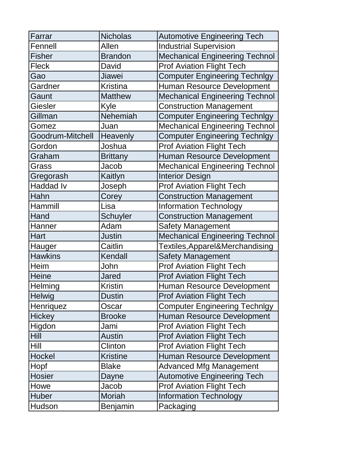| Farrar           | <b>Nicholas</b> | <b>Automotive Engineering Tech</b>    |
|------------------|-----------------|---------------------------------------|
| Fennell          | Allen           | <b>Industrial Supervision</b>         |
| <b>Fisher</b>    | <b>Brandon</b>  | <b>Mechanical Engineering Technol</b> |
| <b>Fleck</b>     | David           | <b>Prof Aviation Flight Tech</b>      |
| Gao              | Jiawei          | <b>Computer Engineering Technlgy</b>  |
| Gardner          | <b>Kristina</b> | Human Resource Development            |
| Gaunt            | <b>Matthew</b>  | <b>Mechanical Engineering Technol</b> |
| Giesler          | Kyle            | <b>Construction Management</b>        |
| Gillman          | Nehemiah        | <b>Computer Engineering Technlgy</b>  |
| Gomez            | Juan            | <b>Mechanical Engineering Technol</b> |
| Goodrum-Mitchell | Heavenly        | <b>Computer Engineering Technlgy</b>  |
| Gordon           | Joshua          | <b>Prof Aviation Flight Tech</b>      |
| Graham           | <b>Brittany</b> | <b>Human Resource Development</b>     |
| Grass            | Jacob           | <b>Mechanical Engineering Technol</b> |
| Gregorash        | Kaitlyn         | <b>Interior Design</b>                |
| <b>Haddad Iv</b> | Joseph          | <b>Prof Aviation Flight Tech</b>      |
| Hahn             | Corey           | <b>Construction Management</b>        |
| Hammill          | Lisa            | <b>Information Technology</b>         |
| Hand             | <b>Schuyler</b> | <b>Construction Management</b>        |
| Hanner           | Adam            | <b>Safety Management</b>              |
| Hart             | Justin          | <b>Mechanical Engineering Technol</b> |
| Hauger           | Caitlin         | Textiles, Apparel&Merchandising       |
| <b>Hawkins</b>   | Kendall         | <b>Safety Management</b>              |
| Heim             | John            | <b>Prof Aviation Flight Tech</b>      |
| <b>Heine</b>     | <b>Jared</b>    | <b>Prof Aviation Flight Tech</b>      |
| Helming          | <b>Kristin</b>  | Human Resource Development            |
| Helwig           | <b>Dustin</b>   | <b>Prof Aviation Flight Tech</b>      |
| Henriquez        | Oscar           | <b>Computer Engineering Technlgy</b>  |
| <b>Hickey</b>    | <b>Brooke</b>   | Human Resource Development            |
| Higdon           | Jami            | <b>Prof Aviation Flight Tech</b>      |
| <b>Hill</b>      | <b>Austin</b>   | <b>Prof Aviation Flight Tech</b>      |
| <b>Hill</b>      | Clinton         | <b>Prof Aviation Flight Tech</b>      |
| Hockel           | <b>Kristine</b> | Human Resource Development            |
| Hopf             | <b>Blake</b>    | <b>Advanced Mfg Management</b>        |
| <b>Hosier</b>    | Dayne           | <b>Automotive Engineering Tech</b>    |
| Howe             | Jacob           | <b>Prof Aviation Flight Tech</b>      |
| Huber            | Moriah          | <b>Information Technology</b>         |
|                  |                 |                                       |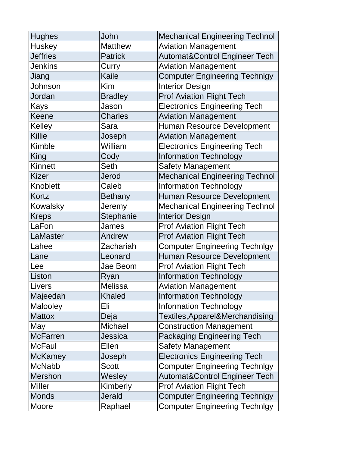| <b>Hughes</b>   | John           | <b>Mechanical Engineering Technol</b>    |
|-----------------|----------------|------------------------------------------|
| Huskey          | <b>Matthew</b> | <b>Aviation Management</b>               |
| <b>Jeffries</b> | <b>Patrick</b> | <b>Automat&amp;Control Engineer Tech</b> |
| <b>Jenkins</b>  | Curry          | <b>Aviation Management</b>               |
| Jiang           | <b>Kaile</b>   | <b>Computer Engineering Technlgy</b>     |
| Johnson         | Kim            | <b>Interior Design</b>                   |
| Jordan          | <b>Bradley</b> | <b>Prof Aviation Flight Tech</b>         |
| <b>Kays</b>     | Jason          | <b>Electronics Engineering Tech</b>      |
| Keene           | <b>Charles</b> | <b>Aviation Management</b>               |
| Kelley          | Sara           | Human Resource Development               |
| Killie          | Joseph         | <b>Aviation Management</b>               |
| Kimble          | William        | <b>Electronics Engineering Tech</b>      |
| King            | Cody           | <b>Information Technology</b>            |
| Kinnett         | <b>Seth</b>    | <b>Safety Management</b>                 |
| <b>Kizer</b>    | Jerod          | <b>Mechanical Engineering Technol</b>    |
| Knoblett        | Caleb          | <b>Information Technology</b>            |
| Kortz           | <b>Bethany</b> | <b>Human Resource Development</b>        |
| Kowalsky        | Jeremy         | <b>Mechanical Engineering Technol</b>    |
| <b>Kreps</b>    | Stephanie      | <b>Interior Design</b>                   |
| LaFon           | James          | <b>Prof Aviation Flight Tech</b>         |
| LaMaster        | Andrew         | <b>Prof Aviation Flight Tech</b>         |
| Lahee           | Zachariah      | <b>Computer Engineering Technlgy</b>     |
| Lane            | Leonard        | <b>Human Resource Development</b>        |
| Lee             | Jae Beom       | <b>Prof Aviation Flight Tech</b>         |
| Liston          | Ryan           | <b>Information Technology</b>            |
| Livers          | Melissa        | <b>Aviation Management</b>               |
| Majeedah        | <b>Khaled</b>  | <b>Information Technology</b>            |
| <b>Malooley</b> | Eli            | <b>Information Technology</b>            |
| <b>Mattox</b>   | Deja           | Textiles, Apparel&Merchandising          |
| May             | Michael        | <b>Construction Management</b>           |
| <b>McFarren</b> | Jessica        | <b>Packaging Engineering Tech</b>        |
| <b>McFaul</b>   | Ellen          | <b>Safety Management</b>                 |
| <b>McKamey</b>  | Joseph         | <b>Electronics Engineering Tech</b>      |
| <b>McNabb</b>   | <b>Scott</b>   | <b>Computer Engineering Technlgy</b>     |
| <b>Mershon</b>  | Wesley         | <b>Automat&amp;Control Engineer Tech</b> |
| Miller          | Kimberly       | <b>Prof Aviation Flight Tech</b>         |
| <b>Monds</b>    | <b>Jerald</b>  | <b>Computer Engineering Technlgy</b>     |
| Moore           | Raphael        | <b>Computer Engineering Technlgy</b>     |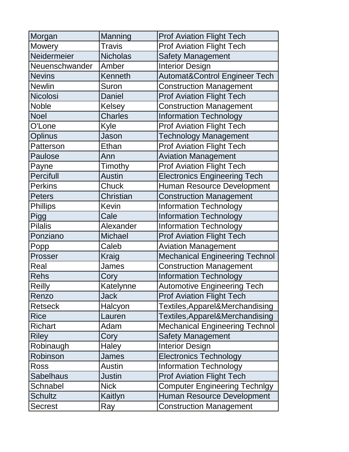| Morgan           | Manning          | <b>Prof Aviation Flight Tech</b>         |
|------------------|------------------|------------------------------------------|
| Mowery           | <b>Travis</b>    | <b>Prof Aviation Flight Tech</b>         |
| Neidermeier      | <b>Nicholas</b>  | <b>Safety Management</b>                 |
| Neuenschwander   | Amber            | <b>Interior Design</b>                   |
| <b>Nevins</b>    | Kenneth          | <b>Automat&amp;Control Engineer Tech</b> |
| <b>Newlin</b>    | Suron            | <b>Construction Management</b>           |
| Nicolosi         | Daniel           | <b>Prof Aviation Flight Tech</b>         |
| <b>Noble</b>     | Kelsey           | <b>Construction Management</b>           |
| <b>Noel</b>      | <b>Charles</b>   | <b>Information Technology</b>            |
| O'Lone           | Kyle             | <b>Prof Aviation Flight Tech</b>         |
| Oplinus          | Jason            | <b>Technology Management</b>             |
| Patterson        | <b>Ethan</b>     | <b>Prof Aviation Flight Tech</b>         |
| <b>Paulose</b>   | Ann              | <b>Aviation Management</b>               |
| Payne            | Timothy          | <b>Prof Aviation Flight Tech</b>         |
| <b>Percifull</b> | <b>Austin</b>    | <b>Electronics Engineering Tech</b>      |
| <b>Perkins</b>   | Chuck            | Human Resource Development               |
| <b>Peters</b>    | <b>Christian</b> | <b>Construction Management</b>           |
| <b>Phillips</b>  | Kevin            | <b>Information Technology</b>            |
| <b>Pigg</b>      | Cale             | <b>Information Technology</b>            |
| <b>Pilalis</b>   | Alexander        | <b>Information Technology</b>            |
| Ponziano         | <b>Michael</b>   | <b>Prof Aviation Flight Tech</b>         |
| Popp             | Caleb            | <b>Aviation Management</b>               |
| Prosser          | Kraig            | <b>Mechanical Engineering Technol</b>    |
| Real             | James            | <b>Construction Management</b>           |
| <b>Rehs</b>      | Cory             | <b>Information Technology</b>            |
| <b>Reilly</b>    | Katelynne        | <b>Automotive Engineering Tech</b>       |
| Renzo            | <b>Jack</b>      | <b>Prof Aviation Flight Tech</b>         |
| <b>Retseck</b>   | Halcyon          | Textiles, Apparel&Merchandising          |
| <b>Rice</b>      | Lauren           | Textiles, Apparel&Merchandising          |
| <b>Richart</b>   | Adam             | <b>Mechanical Engineering Technol</b>    |
| <b>Riley</b>     | Cory             | <b>Safety Management</b>                 |
| Robinaugh        | <b>Haley</b>     | <b>Interior Design</b>                   |
| Robinson         | James            | <b>Electronics Technology</b>            |
| Ross             | Austin           | <b>Information Technology</b>            |
| <b>Sabelhaus</b> | Justin           | <b>Prof Aviation Flight Tech</b>         |
| Schnabel         | <b>Nick</b>      | <b>Computer Engineering Technlgy</b>     |
| <b>Schultz</b>   | Kaitlyn          | Human Resource Development               |
| <b>Secrest</b>   | Ray              | <b>Construction Management</b>           |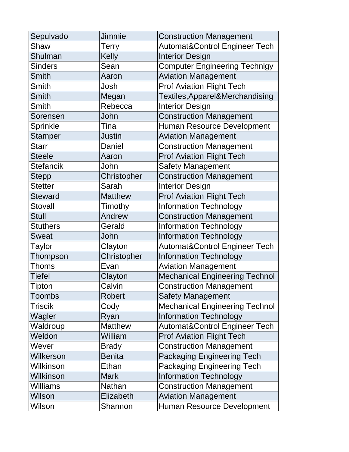| Sepulvado        | <b>Jimmie</b>  | <b>Construction Management</b>           |
|------------------|----------------|------------------------------------------|
| Shaw             | Terry          | <b>Automat&amp;Control Engineer Tech</b> |
| Shulman          | <b>Kelly</b>   | <b>Interior Design</b>                   |
| <b>Sinders</b>   | Sean           | <b>Computer Engineering Technlgy</b>     |
| Smith            | Aaron          | <b>Aviation Management</b>               |
| <b>Smith</b>     | Josh           | <b>Prof Aviation Flight Tech</b>         |
| Smith            | Megan          | Textiles, Apparel&Merchandising          |
| <b>Smith</b>     | Rebecca        | <b>Interior Design</b>                   |
| Sorensen         | John           | <b>Construction Management</b>           |
| Sprinkle         | Tina           | <b>Human Resource Development</b>        |
| Stamper          | Justin         | <b>Aviation Management</b>               |
| <b>Starr</b>     | Daniel         | <b>Construction Management</b>           |
| <b>Steele</b>    | Aaron          | <b>Prof Aviation Flight Tech</b>         |
| <b>Stefancik</b> | John           | <b>Safety Management</b>                 |
| <b>Stepp</b>     | Christopher    | <b>Construction Management</b>           |
| <b>Stetter</b>   | Sarah          | <b>Interior Design</b>                   |
| <b>Steward</b>   | <b>Matthew</b> | <b>Prof Aviation Flight Tech</b>         |
| <b>Stovall</b>   | Timothy        | <b>Information Technology</b>            |
| <b>Stull</b>     | Andrew         | <b>Construction Management</b>           |
| <b>Stuthers</b>  | Gerald         | <b>Information Technology</b>            |
| <b>Sweat</b>     | John           | <b>Information Technology</b>            |
| Taylor           | Clayton        | <b>Automat&amp;Control Engineer Tech</b> |
| Thompson         | Christopher    | <b>Information Technology</b>            |
| <b>Thoms</b>     | Evan           | <b>Aviation Management</b>               |
| <b>Tiefel</b>    | Clayton        | <b>Mechanical Engineering Technol</b>    |
| <b>Tipton</b>    | Calvin         | <b>Construction Management</b>           |
| Toombs           | <b>Robert</b>  | <b>Safety Management</b>                 |
| <b>Triscik</b>   | Cody           | <b>Mechanical Engineering Technol</b>    |
| Wagler           | Ryan           | <b>Information Technology</b>            |
| Waldroup         | <b>Matthew</b> | <b>Automat&amp;Control Engineer Tech</b> |
| Weldon           | William        | <b>Prof Aviation Flight Tech</b>         |
| Wever            | <b>Brady</b>   | <b>Construction Management</b>           |
| Wilkerson        | <b>Benita</b>  | <b>Packaging Engineering Tech</b>        |
| Wilkinson        | Ethan          | <b>Packaging Engineering Tech</b>        |
| Wilkinson        | <b>Mark</b>    | <b>Information Technology</b>            |
| <b>Williams</b>  | Nathan         | <b>Construction Management</b>           |
| Wilson           | Elizabeth      | <b>Aviation Management</b>               |
| Wilson           | Shannon        | <b>Human Resource Development</b>        |